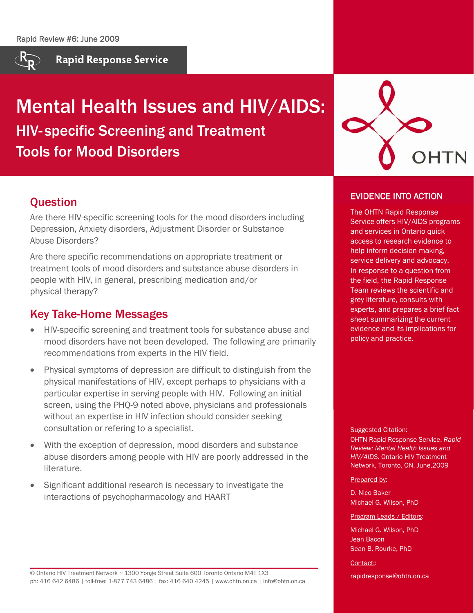

**Rapid Response Service** 

# Mental Health Issues and HIV/AIDS: HIV- specific Screening and Treatment Tools for Mood Disorders



# **Ouestion**

Are there HIV-specific screening tools for the mood disorders including Depression, Anxiety disorders, Adjustment Disorder or Substance Abuse Disorders?

Are there specific recommendations on appropriate treatment or treatment tools of mood disorders and substance abuse disorders in people with HIV, in general, prescribing medication and/or physical therapy?

# Key Take-Home Messages

- HIV-specific screening and treatment tools for substance abuse and mood disorders have not been developed. The following are primarily recommendations from experts in the HIV field.
- Physical symptoms of depression are difficult to distinguish from the physical manifestations of HIV, except perhaps to physicians with a particular expertise in serving people with HIV. Following an initial screen, using the PHQ-9 noted above, physicians and professionals without an expertise in HIV infection should consider seeking consultation or refering to a specialist.
- With the exception of depression, mood disorders and substance abuse disorders among people with HIV are poorly addressed in the literature.
- Significant additional research is necessary to investigate the interactions of psychopharmacology and HAART

EVIDENCE INTO ACTION

The OHTN Rapid Response Service offers HIV/AIDS programs and services in Ontario quick access to research evidence to help inform decision making, service delivery and advocacy. In response to a question from the field, the Rapid Response Team reviews the scientific and grey literature, consults with experts, and prepares a brief fact sheet summarizing the current evidence and its implications for policy and practice.

**Suggested Citation:** 

OHTN Rapid Response Service. *Rapid Review: Mental Health Issues and HIV/AIDS*. Ontario HIV Treatment Network, Toronto, ON, June,2009

#### Prepared by:

D. Nico Baker Michael G. Wilson, PhD

#### Program Leads / Editors:

Michael G. Wilson, PhD Jean Bacon Sean B. Rourke, PhD

Contact:

rapidresponse@ohtn.on.ca

© Ontario HIV Treatment Network ~ 1300 Yonge Street Suite 600 Toronto Ontario M4T 1X3 ph: 416 642 6486 | toll-free: 1-877 743 6486 | fax: 416 640 4245 | www.ohtn.on.ca | info@ohtn.on.ca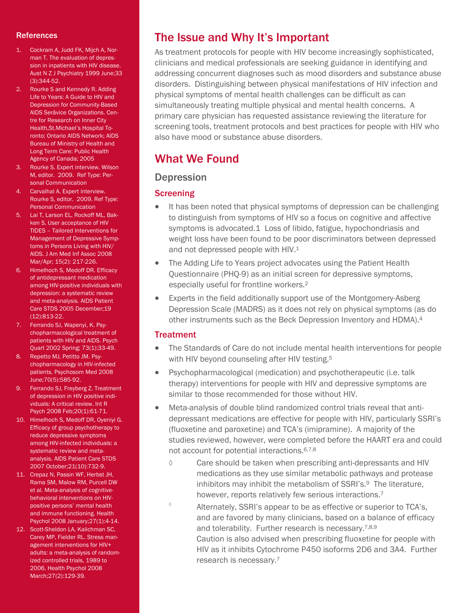#### **References**

- 1. Cockram A, Judd FK, Mijch A, Norman T. The evaluation of depression in inpatients with HIV disease. Aust N Z J Psychiatry 1999 June;33 (3):344-52.
- 2. Rourke S and Kennedy R. Adding Life to Years: A Guide to HIV and Depression for Community-Based AIDS Seråvice Organizations. Centre for Research on Inner City Health,St.Michael's Hospital Toronto; Ontario AIDS Network; AIDS Bureau of Ministry of Health and Long Term Care: Public Health Agency of Canada; 2005
- 3. Rourke S. Expert interview. Wilson M, editor. 2009. Ref Type: Personal Communication
- 4. Carvalhal A. Expert interview. Rourke S, editor. 2009. Ref Type: Personal Communication
- 5. Lai T, Larson EL, Rockoff ML, Bakken S. User acceptance of HIV TIDES – Tailored Interventions for Management of Depressive Symptoms in Persons Living with HIV/ AIDS. J Am Med Inf Assoc 2008 Mar/Apr; 15(2): 217-226.
- 6. Himelhoch S, Medoff DR. Efficacy of antidepressant medication among HIV-positive individuals with depression: a systematic review and meta-analysis. AIDS Patient Care STDS 2005 December;19 (12):813-22.
- 7. Ferrando SJ, Wapenyi, K. Psychopharmacological treatment of patients with HIV and AIDS. Psych Quart 2002 Spring; 73(1):33-49.
- 8. Repetto MJ, Petitto JM. Psychopharmacology in HIV-infected patients. Psychosom Med 2008 June;70(5):585-92.
- 9. Ferrando SJ, Freyberg Z. Treatment of depression in HIV positive individuals: A critical review. Int R Psych 2008 Feb;20(1):61-71.
- 10. Himelhoch S, Medoff DR, Oyeniyi G. Efficacy of group psychotherapy to reduce depressive symptoms among HIV-infected individuals: a systematic review and metaanalysis. AIDS Patient Care STDS 2007 October;21(10):732-9.
- 11. Crepaz N, Passin WF, Herbst JH, Rama SM, Malow RM, Purcell DW et al. Meta-analysis of cognitivebehavioral interventions on HIVpositive persons' mental health and immune functioning. Health Psychol 2008 January;27(1):4-14.
- 12. Scott-Sheldon LA, Kalichman SC, Carey MP, Fielder RL. Stress management interventions for HIV+ adults: a meta-analysis of randomized controlled trials, 1989 to 2006. Health Psychol 2008 March;27(2):129-39.

## The Issue and Why It's Important

As treatment protocols for people with HIV become increasingly sophisticated, clinicians and medical professionals are seeking guidance in identifying and addressing concurrent diagnoses such as mood disorders and substance abuse disorders. Distinguishing between physical manifestations of HIV infection and physical symptoms of mental health challenges can be difficult as can simultaneously treating multiple physical and mental health concerns. A primary care physician has requested assistance reviewing the literature for screening tools, treatment protocols and best practices for people with HIV who also have mood or substance abuse disorders.

## What We Found

#### **Depression**

#### **Screening**

- It has been noted that physical symptoms of depression can be challenging to distinguish from symptoms of HIV so a focus on cognitive and affective symptoms is advocated.1 Loss of libido, fatigue, hypochondriasis and weight loss have been found to be poor discriminators between depressed and not depressed people with HIV.<sup>1</sup>
- The Adding Life to Years project advocates using the Patient Health Questionnaire (PHQ-9) as an initial screen for depressive symptoms, especially useful for frontline workers.2
- Experts in the field additionally support use of the Montgomery-Asberg Depression Scale (MADRS) as it does not rely on physical symptoms (as do other instruments such as the Beck Depression Inventory and HDMA).4

#### **Treatment**

- The Standards of Care do not include mental health interventions for people with HIV beyond counseling after HIV testing.<sup>5</sup>
- Psychopharmacological (medication) and psychotherapeutic (i.e. talk therapy) interventions for people with HIV and depressive symptoms are similar to those recommended for those without HIV.
- Meta-analysis of double blind randomized control trials reveal that antidepressant medications are effective for people with HIV, particularly SSRI's (fluoxetine and paroxetine) and TCA's (imipramine). A majority of the studies reviewed, however, were completed before the HAART era and could not account for potential interactions.6,7,8
	- ◊ Care should be taken when prescribing anti-depressants and HIV medications as they use similar metabolic pathways and protease inhibitors may inhibit the metabolism of SSRI's.<sup>9</sup> The literature, however, reports relatively few serious interactions.<sup>7</sup>
	- $\degree$  Alternately, SSRI's appear to be as effective or superior to TCA's, and are favored by many clinicians, based on a balance of efficacy and tolerability. Further research is necessary.7,8,9 Caution is also advised when prescribing fluoxetine for people with HIV as it inhibits Cytochrome P450 isoforms 2D6 and 3A4. Further research is necessary.7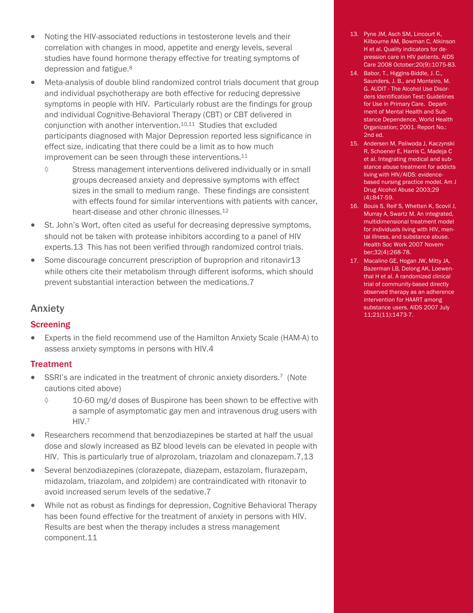- Noting the HIV-associated reductions in testosterone levels and their correlation with changes in mood, appetite and energy levels, several studies have found hormone therapy effective for treating symptoms of depression and fatigue.8
- Meta-analysis of double blind randomized control trials document that group and individual psychotherapy are both effective for reducing depressive symptoms in people with HIV. Particularly robust are the findings for group and individual Cognitive-Behavioral Therapy (CBT) or CBT delivered in conjunction with another intervention.10,11 Studies that excluded participants diagnosed with Major Depression reported less significance in effect size, indicating that there could be a limit as to how much improvement can be seen through these interventions.<sup>11</sup>
	- ◊ Stress management interventions delivered individually or in small groups decreased anxiety and depressive symptoms with effect sizes in the small to medium range. These findings are consistent with effects found for similar interventions with patients with cancer, heart-disease and other chronic illnesses.12
- St. John's Wort, often cited as useful for decreasing depressive symptoms, should not be taken with protease inhibitors according to a panel of HIV experts.13 This has not been verified through randomized control trials.
- Some discourage concurrent prescription of buproprion and ritonavir13 while others cite their metabolism through different isoforms, which should prevent substantial interaction between the medications.7

## Anxiety

#### **Screening**

• Experts in the field recommend use of the Hamilton Anxiety Scale (HAM-A) to assess anxiety symptoms in persons with HIV.4

## **Treatment**

- SSRI's are indicated in the treatment of chronic anxiety disorders.7 (Note cautions cited above)
	- ◊ 10-60 mg/d doses of Buspirone has been shown to be effective with a sample of asymptomatic gay men and intravenous drug users with HIV.7
- Researchers recommend that benzodiazepines be started at half the usual dose and slowly increased as BZ blood levels can be elevated in people with HIV. This is particularly true of alprozolam, triazolam and clonazepam.7,13
- Several benzodiazepines (clorazepate, diazepam, estazolam, flurazepam, midazolam, triazolam, and zolpidem) are contraindicated with ritonavir to avoid increased serum levels of the sedative.7
- While not as robust as findings for depression, Cognitive Behavioral Therapy has been found effective for the treatment of anxiety in persons with HIV. Results are best when the therapy includes a stress management component.11
- 13. Pyne JM, Asch SM, Lincourt K, Kilbourne AM, Bowman C, Atkinson H et al. Quality indicators for depression care in HIV patients. AIDS Care 2008 October;20(9):1075-83.
- 14. Babor, T., Higgins-Biddle, J. C., Saunders, J. B., and Monteiro, M. G. AUDIT - The Alcohol Use Disorders Identification Test: Guidelines for Use in Primary Care. Department of Mental Health and Substance Dependence, World Health Organization; 2001. Report No.: 2nd ed.
- 15. Andersen M, Paliwoda J, Kaczynski R, Schoener E, Harris C, Madeja C et al. Integrating medical and substance abuse treatment for addicts living with HIV/AIDS: evidencebased nursing practice model. Am J Drug Alcohol Abuse 2003;29 (4):847-59.
- 16. Bouis S, Reif S, Whetten K, Scovil J, Murray A, Swartz M. An integrated, multidimensional treatment model for individuals living with HIV, mental illness, and substance abuse. Health Soc Work 2007 November;32(4):268-78.
- 17. Macalino GE, Hogan JW, Mitty JA, Bazerman LB, Delong AK, Loewenthal H et al. A randomized clinical trial of community-based directly observed therapy as an adherence intervention for HAART among substance users. AIDS 2007 July 11;21(11):1473-7.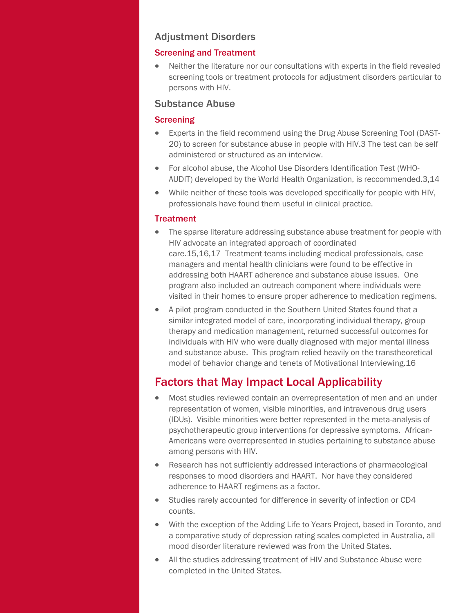## Adjustment Disorders

#### Screening and Treatment

• Neither the literature nor our consultations with experts in the field revealed screening tools or treatment protocols for adjustment disorders particular to persons with HIV.

## Substance Abuse

### Screening

- Experts in the field recommend using the Drug Abuse Screening Tool (DAST-20) to screen for substance abuse in people with HIV.3 The test can be self administered or structured as an interview.
- For alcohol abuse, the Alcohol Use Disorders Identification Test (WHO-AUDIT) developed by the World Health Organization, is reccommended.3,14
- While neither of these tools was developed specifically for people with HIV, professionals have found them useful in clinical practice.

#### **Treatment**

- The sparse literature addressing substance abuse treatment for people with HIV advocate an integrated approach of coordinated care.15,16,17 Treatment teams including medical professionals, case managers and mental health clinicians were found to be effective in addressing both HAART adherence and substance abuse issues. One program also included an outreach component where individuals were visited in their homes to ensure proper adherence to medication regimens.
- A pilot program conducted in the Southern United States found that a similar integrated model of care, incorporating individual therapy, group therapy and medication management, returned successful outcomes for individuals with HIV who were dually diagnosed with major mental illness and substance abuse. This program relied heavily on the transtheoretical model of behavior change and tenets of Motivational Interviewing.16

# Factors that May Impact Local Applicability

- Most studies reviewed contain an overrepresentation of men and an under representation of women, visible minorities, and intravenous drug users (IDUs). Visible minorities were better represented in the meta-analysis of psychotherapeutic group interventions for depressive symptoms. African-Americans were overrepresented in studies pertaining to substance abuse among persons with HIV.
- Research has not sufficiently addressed interactions of pharmacological responses to mood disorders and HAART. Nor have they considered adherence to HAART regimens as a factor.
- Studies rarely accounted for difference in severity of infection or CD4 counts.
- With the exception of the Adding Life to Years Project, based in Toronto, and a comparative study of depression rating scales completed in Australia, all mood disorder literature reviewed was from the United States.
- All the studies addressing treatment of HIV and Substance Abuse were completed in the United States.